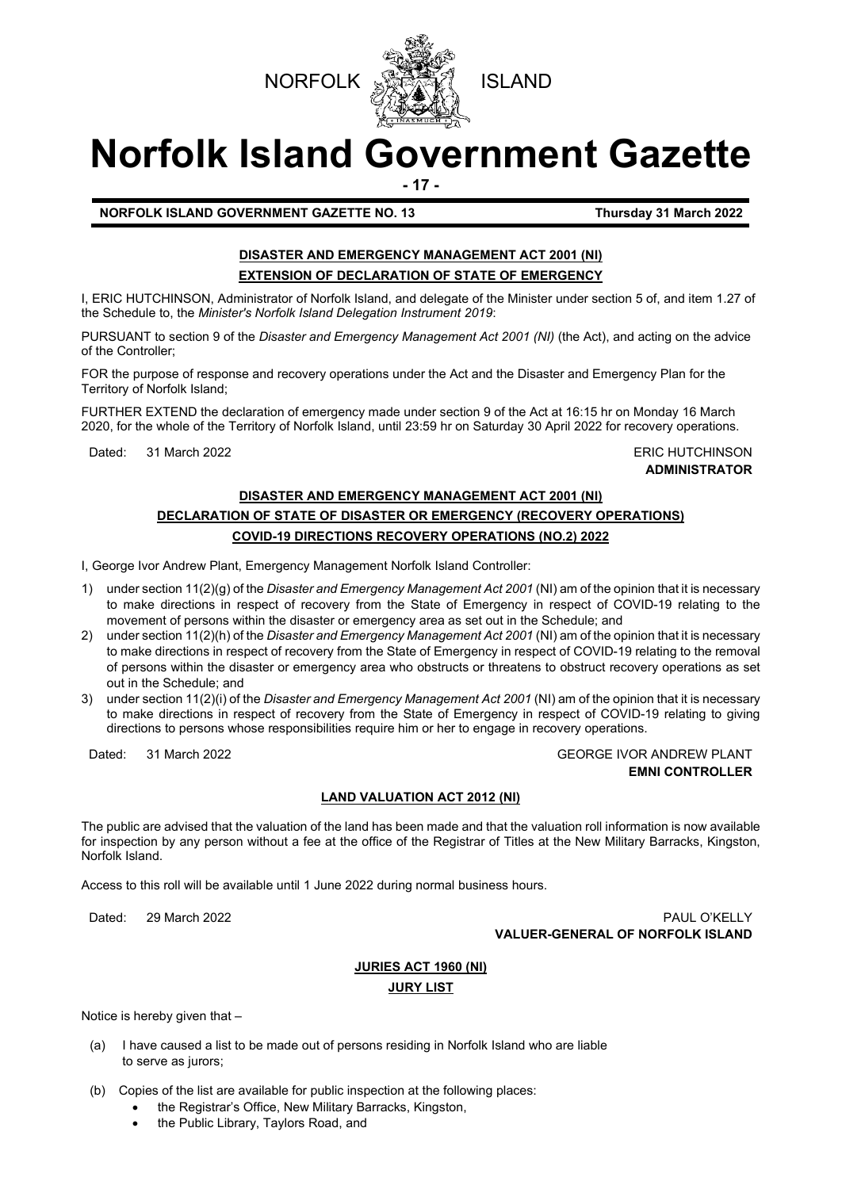



# **Norfolk Island Government Gazette**

**- 17 -**

**NORFOLK ISLAND GOVERNMENT GAZETTE NO. 13 Thursday 31 March 2022**

### **DISASTER AND EMERGENCY MANAGEMENT ACT 2001 (NI) EXTENSION OF DECLARATION OF STATE OF EMERGENCY**

I, ERIC HUTCHINSON, Administrator of Norfolk Island, and delegate of the Minister under section 5 of, and item 1.27 of the Schedule to, the *Minister's Norfolk Island Delegation Instrument 2019*:

PURSUANT to section 9 of the *Disaster and Emergency Management Act 2001 (NI)* (the Act), and acting on the advice of the Controller;

FOR the purpose of response and recovery operations under the Act and the Disaster and Emergency Plan for the Territory of Norfolk Island;

FURTHER EXTEND the declaration of emergency made under section 9 of the Act at 16:15 hr on Monday 16 March 2020, for the whole of the Territory of Norfolk Island, until 23:59 hr on Saturday 30 April 2022 for recovery operations.

Dated: 31 March 2022 ERIC HUTCHINSON

**ADMINISTRATOR**

## **DISASTER AND EMERGENCY MANAGEMENT ACT 2001 (NI) DECLARATION OF STATE OF DISASTER OR EMERGENCY (RECOVERY OPERATIONS) COVID-19 DIRECTIONS RECOVERY OPERATIONS (NO.2) 2022**

I, George Ivor Andrew Plant, Emergency Management Norfolk Island Controller:

- 1) under section 11(2)(g) of the *Disaster and Emergency Management Act 2001* (NI) am of the opinion that it is necessary to make directions in respect of recovery from the State of Emergency in respect of COVID-19 relating to the movement of persons within the disaster or emergency area as set out in the Schedule; and
- 2) under section 11(2)(h) of the *Disaster and Emergency Management Act 2001* (NI) am of the opinion that it is necessary to make directions in respect of recovery from the State of Emergency in respect of COVID-19 relating to the removal of persons within the disaster or emergency area who obstructs or threatens to obstruct recovery operations as set out in the Schedule; and
- 3) under section 11(2)(i) of the *Disaster and Emergency Management Act 2001* (NI) am of the opinion that it is necessary to make directions in respect of recovery from the State of Emergency in respect of COVID-19 relating to giving directions to persons whose responsibilities require him or her to engage in recovery operations.

Dated: 31 March 2022 GEORGE IVOR ANDREW PLANT **EMNI CONTROLLER**

#### **LAND VALUATION ACT 2012 (NI)**

The public are advised that the valuation of the land has been made and that the valuation roll information is now available for inspection by any person without a fee at the office of the Registrar of Titles at the New Military Barracks, Kingston, Norfolk Island.

Access to this roll will be available until 1 June 2022 during normal business hours.

Dated: 29 March 2022 PAUL O'KELLY **VALUER-GENERAL OF NORFOLK ISLAND**

# **JURIES ACT 1960 (NI)**

#### **JURY LIST**

Notice is hereby given that –

- (a) I have caused a list to be made out of persons residing in Norfolk Island who are liable to serve as jurors;
- (b) Copies of the list are available for public inspection at the following places:
	- the Registrar's Office, New Military Barracks, Kingston,
		- the Public Library, Taylors Road, and